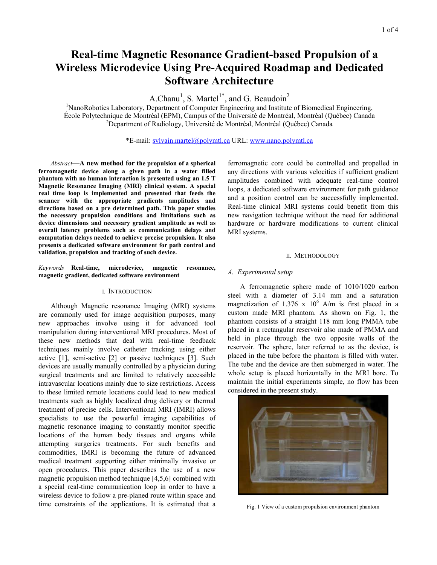# **Real-time Magnetic Resonance Gradient-based Propulsion of a Wireless Microdevice Using Pre-Acquired Roadmap and Dedicated Software Architecture**

A.Chanu<sup>1</sup>, S. Martel<sup>1\*</sup>, and G. Beaudoin<sup>2</sup>

<sup>1</sup>NanoRobotics Laboratory, Department of Computer Engineering and Institute of Biomedical Engineering, École Polytechnique de Montréal (EPM), Campus of the Université de Montréal, Montréal (Québec) Canada 2 <sup>2</sup>Department of Radiology, Université de Montréal, Montréal (Québec) Canada

\*E-mail: sylvain.martel@polymtl.ca URL: www.nano.polymtl.ca

 *Abstract*—**A new method for the propulsion of a spherical ferromagnetic device along a given path in a water filled phantom with no human interaction is presented using an 1.5 T Magnetic Resonance Imaging (MRI) clinical system. A special real time loop is implemented and presented that feeds the scanner with the appropriate gradients amplitudes and directions based on a pre determined path. This paper studies the necessary propulsion conditions and limitations such as device dimensions and necessary gradient amplitude as well as overall latency problems such as communication delays and computation delays needed to achieve precise propulsion. It also presents a dedicated software environment for path control and validation, propulsion and tracking of such device.** 

*Keywords*—**Real-time, microdevice, magnetic resonance, magnetic gradient, dedicated software environment**

#### I. INTRODUCTION

 Although Magnetic resonance Imaging (MRI) systems are commonly used for image acquisition purposes, many new approaches involve using it for advanced tool manipulation during interventional MRI procedures. Most of these new methods that deal with real-time feedback techniques mainly involve catheter tracking using either active [1], semi-active [2] or passive techniques [3]. Such devices are usually manually controlled by a physician during surgical treatments and are limited to relatively accessible intravascular locations mainly due to size restrictions. Access to these limited remote locations could lead to new medical treatments such as highly localized drug delivery or thermal treatment of precise cells. Interventional MRI (IMRI) allows specialists to use the powerful imaging capabilities of magnetic resonance imaging to constantly monitor specific locations of the human body tissues and organs while attempting surgeries treatments. For such benefits and commodities, IMRI is becoming the future of advanced medical treatment supporting either minimally invasive or open procedures. This paper describes the use of a new magnetic propulsion method technique [4,5,6] combined with a special real-time communication loop in order to have a wireless device to follow a pre-planed route within space and time constraints of the applications. It is estimated that a ferromagnetic core could be controlled and propelled in any directions with various velocities if sufficient gradient amplitudes combined with adequate real-time control loops, a dedicated software environment for path guidance and a position control can be successfully implemented. Real-time clinical MRI systems could benefit from this new navigation technique without the need for additional hardware or hardware modifications to current clinical MRI systems.

#### II. METHODOLOGY

## *A. Experimental setup*

 A ferromagnetic sphere made of 1010/1020 carbon steel with a diameter of 3.14 mm and a saturation magnetization of 1.376 x  $10^6$  A/m is first placed in a custom made MRI phantom. As shown on Fig. 1, the phantom consists of a straight 118 mm long PMMA tube placed in a rectangular reservoir also made of PMMA and held in place through the two opposite walls of the reservoir. The sphere, later referred to as the device, is placed in the tube before the phantom is filled with water. The tube and the device are then submerged in water. The whole setup is placed horizontally in the MRI bore. To maintain the initial experiments simple, no flow has been considered in the present study.



Fig. 1 View of a custom propulsion environment phantom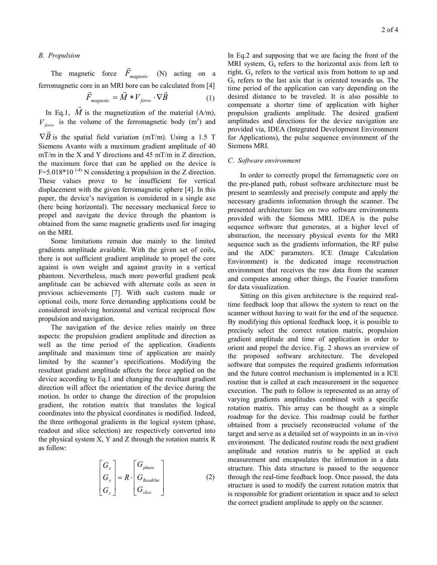# *B. Propulsion*

on the MRI.

The magnetic force  $\vec{F}_{magnetic}$  $(N)$  acting on a ferromagnetic core in an MRI bore can be calculated from [4]<br> $\vec{F}_{magnetic} = \vec{M} * V_{ferro} \cdot \nabla \vec{B}$  (1)

$$
\vec{F}_{magnetic} = \vec{M} * V_{ferro} \cdot \nabla \vec{B}
$$
 (1)

In Eq.1, *M*  $\overrightarrow{A}$  is the magnetization of the material (A/m),  $V_{\text{ferro}}$  is the volume of the ferromagnetic body (m<sup>3</sup>) and  $\nabla \vec{B}$  is the spatial field variation (mT/m). Using a 1.5 T Siemens Avanto with a maximum gradient amplitude of 40 mT/m in the X and Y directions and 45 mT/m in Z direction, the maximum force that can be applied on the device is F=5.018\*10<sup> $(-4)$ </sup> N considering a propulsion in the Z direction. These values prove to be insufficient for vertical displacement with the given ferromagnetic sphere [4]. In this paper, the device's navigation is considered in a single axe (here being horizontal). The necessary mechanical force to propel and navigate the device through the phantom is obtained from the same magnetic gradients used for imaging

 Some limitations remain due mainly to the limited gradients amplitude available. With the given set of coils, there is not sufficient gradient amplitude to propel the core against is own weight and against gravity in a vertical phantom. Nevertheless, much more powerful gradient peak amplitude can be achieved with alternate coils as seen in previous achievements [7]. With such custom made or optional coils, more force demanding applications could be considered involving horizontal and vertical reciprocal flow propulsion and navigation.

 The navigation of the device relies mainly on three aspects: the propulsion gradient amplitude and direction as well as the time period of the application. Gradients amplitude and maximum time of application are mainly limited by the scanner's specifications. Modifying the resultant gradient amplitude affects the force applied on the device according to Eq.1 and changing the resultant gradient direction will affect the orientation of the device during the motion. In order to change the direction of the propulsion gradient, the rotation matrix that translates the logical coordinates into the physical coordinates is modified. Indeed, the three orthogonal gradients in the logical system (phase, readout and slice selection) are respectively converted into the physical system X, Y and Z through the rotation matrix R as follow:

$$
\begin{bmatrix} G_x \\ G_y \\ G_z \end{bmatrix} = R \cdot \begin{bmatrix} G_{phase} \\ G_{ReadOut} \\ G_{slice} \end{bmatrix}
$$
 (2)

In Eq.2 and supposing that we are facing the front of the MRI system,  $G_x$  refers to the horizontal axis from left to right, Gy refers to the vertical axis from bottom to up and  $G<sub>z</sub>$  refers to the last axis that is oriented towards us. The time period of the application can vary depending on the desired distance to be traveled. It is also possible to compensate a shorter time of application with higher propulsion gradients amplitude. The desired gradient amplitudes and directions for the device navigation are provided via, IDEA (Integrated Development Environment for Applications), the pulse sequence environment of the Siemens MRI.

## *C*. *Software environment*

 In order to correctly propel the ferromagnetic core on the pre-planed path, robust software architecture must be present to seamlessly and precisely compute and apply the necessary gradients information through the scanner. The presented architecture lies on two software environments provided with the Siemens MRI. IDEA is the pulse sequence software that generates, at a higher level of abstraction, the necessary physical events for the MRI sequence such as the gradients information, the RF pulse and the ADC parameters. ICE (Image Calculation Environment) is the dedicated image reconstruction environment that receives the raw data from the scanner and computes among other things, the Fourier transform for data visualization.

 Sitting on this given architecture is the required realtime feedback loop that allows the system to react on the scanner without having to wait for the end of the sequence. By modifying this optional feedback loop, it is possible to precisely select the correct rotation matrix, propulsion gradient amplitude and time of application in order to orient and propel the device. Fig. 2 shows an overview of the proposed software architecture. The developed software that computes the required gradients information and the future control mechanism is implemented in a ICE routine that is called at each measurement in the sequence execution. The path to follow is represented as an array of varying gradients amplitudes combined with a specific rotation matrix. This array can be thought as a simple roadmap for the device. This roadmap could be further obtained from a precisely reconstructed volume of the target and serve as a detailed set of waypoints in an in-vivo environment. The dedicated routine reads the next gradient amplitude and rotation matrix to be applied at each measurement and encapsulates the information in a data structure. This data structure is passed to the sequence through the real-time feedback loop. Once passed, the data structure is used to modify the current rotation matrix that is responsible for gradient orientation in space and to select the correct gradient amplitude to apply on the scanner.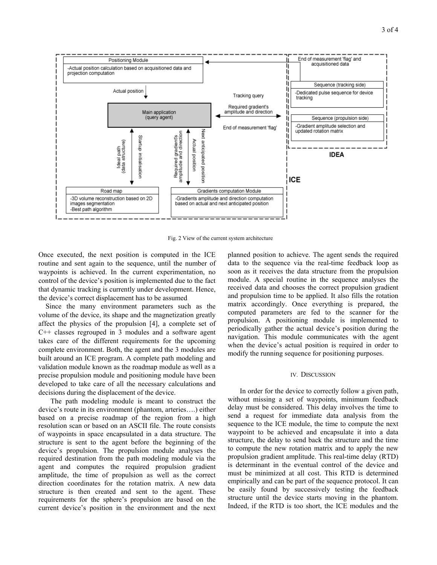

Fig. 2 View of the current system architecture

Once executed, the next position is computed in the ICE routine and sent again to the sequence, until the number of waypoints is achieved. In the current experimentation, no control of the device's position is implemented due to the fact that dynamic tracking is currently under development. Hence, the device's correct displacement has to be assumed

Since the many environment parameters such as the volume of the device, its shape and the magnetization greatly affect the physics of the propulsion [4], a complete set of C++ classes regrouped in 3 modules and a software agent takes care of the different requirements for the upcoming complete environment. Both, the agent and the 3 modules are built around an ICE program. A complete path modeling and validation module known as the roadmap module as well as a precise propulsion module and positioning module have been developed to take care of all the necessary calculations and decisions during the displacement of the device.

The path modeling module is meant to construct the device's route in its environment (phantom, arteries….) either based on a precise roadmap of the region from a high resolution scan or based on an ASCII file. The route consists of waypoints in space encapsulated in a data structure. The structure is sent to the agent before the beginning of the device's propulsion. The propulsion module analyses the required destination from the path modeling module via the agent and computes the required propulsion gradient amplitude, the time of propulsion as well as the correct direction coordinates for the rotation matrix. A new data structure is then created and sent to the agent. These requirements for the sphere's propulsion are based on the current device's position in the environment and the next planned position to achieve. The agent sends the required data to the sequence via the real-time feedback loop as soon as it receives the data structure from the propulsion module. A special routine in the sequence analyses the received data and chooses the correct propulsion gradient and propulsion time to be applied. It also fills the rotation matrix accordingly. Once everything is prepared, the computed parameters are fed to the scanner for the propulsion. A positioning module is implemented to periodically gather the actual device's position during the navigation. This module communicates with the agent when the device's actual position is required in order to modify the running sequence for positioning purposes.

# IV. DISCUSSION

In order for the device to correctly follow a given path, without missing a set of waypoints, minimum feedback delay must be considered. This delay involves the time to send a request for immediate data analysis from the sequence to the ICE module, the time to compute the next waypoint to be achieved and encapsulate it into a data structure, the delay to send back the structure and the time to compute the new rotation matrix and to apply the new propulsion gradient amplitude. This real-time delay (RTD) is determinant in the eventual control of the device and must be minimized at all cost. This RTD is determined empirically and can be part of the sequence protocol. It can be easily found by successively testing the feedback structure until the device starts moving in the phantom. Indeed, if the RTD is too short, the ICE modules and the